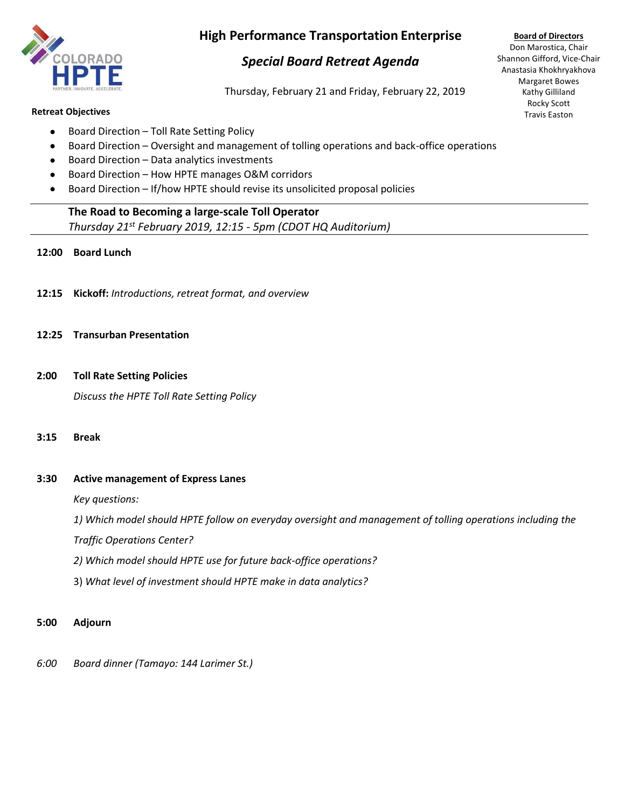

# **High Performance Transportation Enterprise**

# *Special Board Retreat Agenda*

Thursday, February 21 and Friday, February 22, 2019

#### **Retreat Objectives**

- Board Direction Toll Rate Setting Policy
- Board Direction Oversight and management of tolling operations and back-office operations
- Board Direction Data analytics investments
- Board Direction How HPTE manages O&M corridors
- Board Direction If/how HPTE should revise its unsolicited proposal policies

# **The Road to Becoming a large-scale Toll Operator**

*Thursday 21st February 2019, 12:15 - 5pm (CDOT HQ Auditorium)*

# **12:00 Board Lunch**

**12:15 Kickoff:** *Introductions, retreat format, and overview*

### **12:25 Transurban Presentation**

**2:00 Toll Rate Setting Policies**

*Discuss the HPTE Toll Rate Setting Policy*

### **3:15 Break**

# **3:30 Active management of Express Lanes**

*Key questions:* 

*1) Which model should HPTE follow on everyday oversight and management of tolling operations including the*

*Traffic Operations Center?* 

- *2) Which model should HPTE use for future back-office operations?*
- 3) *What level of investment should HPTE make in data analytics?*

### **5:00 Adjourn**

*6:00 Board dinner (Tamayo: 144 Larimer St.)* 

**Board of Directors** Don Marostica, Chair Shannon Gifford, Vice-Chair Anastasia Khokhryakhova Margaret Bowes Kathy Gilliland Rocky Scott Travis Easton